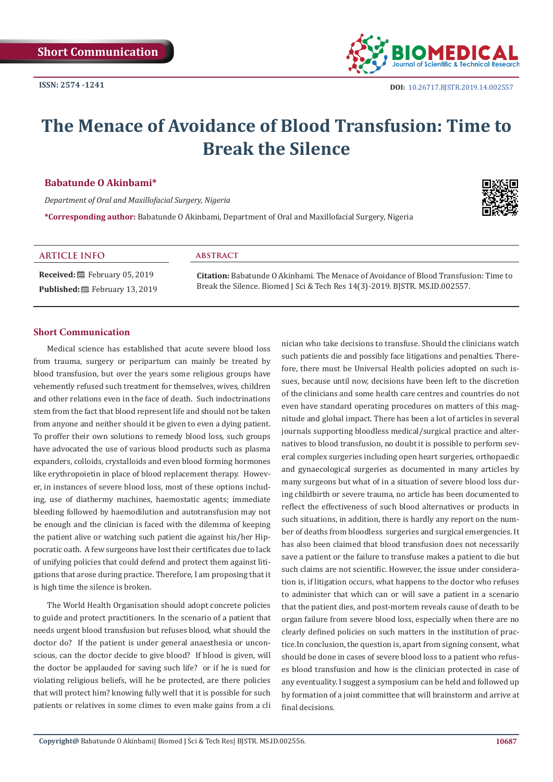

# **The Menace of Avoidance of Blood Transfusion: Time to Break the Silence**

#### **Babatunde O Akinbami\***

*Department of Oral and Maxillofacial Surgery, Nigeria*

**\*Corresponding author:** Babatunde O Akinbami, Department of Oral and Maxillofacial Surgery, Nigeria



#### **ARTICLE INFO abstract**

**Received:** February 05, 2019 Published: **■**February 13, 2019

**Citation:** Babatunde O Akinbami. The Menace of Avoidance of Blood Transfusion: Time to Break the Silence. Biomed J Sci & Tech Res 14(3)-2019. BJSTR. MS.ID.002557.

#### **Short Communication**

Medical science has established that acute severe blood loss from trauma, surgery or peripartum can mainly be treated by blood transfusion, but over the years some religious groups have vehemently refused such treatment for themselves, wives, children and other relations even in the face of death. Such indoctrinations stem from the fact that blood represent life and should not be taken from anyone and neither should it be given to even a dying patient. To proffer their own solutions to remedy blood loss, such groups have advocated the use of various blood products such as plasma expanders, colloids, crystalloids and even blood forming hormones like erythropoietin in place of blood replacement therapy. However, in instances of severe blood loss, most of these options including, use of diathermy machines, haemostatic agents; immediate bleeding followed by haemodilution and autotransfusion may not be enough and the clinician is faced with the dilemma of keeping the patient alive or watching such patient die against his/her Hippocratic oath. A few surgeons have lost their certificates due to lack of unifying policies that could defend and protect them against litigations that arose during practice. Therefore, I am proposing that it is high time the silence is broken.

The World Health Organisation should adopt concrete policies to guide and protect practitioners. In the scenario of a patient that needs urgent blood transfusion but refuses blood, what should the doctor do? If the patient is under general anaesthesia or unconscious, can the doctor decide to give blood? If blood is given, will the doctor be applauded for saving such life? or if he is sued for violating religious beliefs, will he be protected, are there policies that will protect him? knowing fully well that it is possible for such patients or relatives in some climes to even make gains from a cli

nician who take decisions to transfuse. Should the clinicians watch such patients die and possibly face litigations and penalties. Therefore, there must be Universal Health policies adopted on such issues, because until now, decisions have been left to the discretion of the clinicians and some health care centres and countries do not even have standard operating procedures on matters of this magnitude and global impact. There has been a lot of articles in several journals supporting bloodless medical/surgical practice and alternatives to blood transfusion, no doubt it is possible to perform several complex surgeries including open heart surgeries, orthopaedic and gynaecological surgeries as documented in many articles by many surgeons but what of in a situation of severe blood loss during childbirth or severe trauma, no article has been documented to reflect the effectiveness of such blood alternatives or products in such situations, in addition, there is hardly any report on the number of deaths from bloodless surgeries and surgical emergencies. It has also been claimed that blood transfusion does not necessarily save a patient or the failure to transfuse makes a patient to die but such claims are not scientific. However, the issue under consideration is, if litigation occurs, what happens to the doctor who refuses to administer that which can or will save a patient in a scenario that the patient dies, and post-mortem reveals cause of death to be organ failure from severe blood loss, especially when there are no clearly defined policies on such matters in the institution of practice.In conclusion, the question is, apart from signing consent, what should be done in cases of severe blood loss to a patient who refuses blood transfusion and how is the clinician protected in case of any eventuality. I suggest a symposium can be held and followed up by formation of a joint committee that will brainstorm and arrive at final decisions.